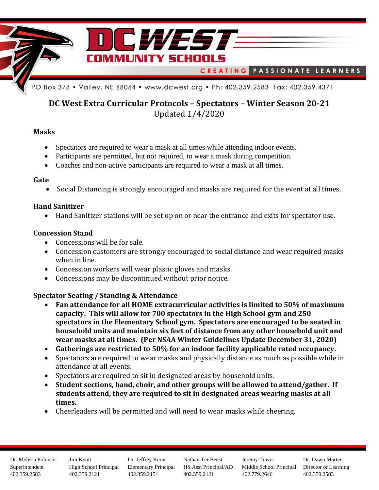

# **DC West Extra Curricular Protocols – Spectators – Winter Season 20-21** Updated 1/4/2020

### **Masks**

- Spectators are required to wear a mask at all times while attending indoor events.
- Participants are permitted, but not required, to wear a mask during competition.
- Coaches and non-active participants are required to wear a mask at all times.

### **Gate**

• Social Distancing is strongly encouraged and masks are required for the event at all times.

## **Hand Sanitizer**

• Hand Sanitizer stations will be set up on or near the entrance and exits for spectator use.

## **Concession Stand**

- Concessions will be for sale.
- Concession customers are strongly encouraged to social distance and wear required masks when in line.
- Concession workers will wear plastic gloves and masks.
- Concessions may be discontinued without prior notice.

## **Spectator Seating / Standing & Attendance**

- **Fan attendance for all HOME extracurricular activities is limited to 50% of maximum capacity. This will allow for 700 spectators in the High School gym and 250 spectators in the Elementary School gym. Spectators are encouraged to be seated in household units and maintain six feet of distance from any other household unit and wear masks at all times. (Per NSAA Winter Guidelines Update December 31, 2020)**
- **Gatherings are restricted to 50% for an indoor facility applicable rated occupancy.**
- Spectators are required to wear masks and physically distance as much as possible while in attendance at all events.
- Spectators are required to sit in designated areas by household units.
- **Student sections, band, choir, and other groups will be allowed to attend/gather. If students attend, they are required to sit in designated areas wearing masks at all times.**
- Cheerleaders will be permitted and will need to wear masks while cheering.

Dr. Melissa Poloncic Superintendent 402.359.2583

Jim Knott High School Principal 402.359.2121

Dr. Jeffrey Kerns Elementary Principal 402.359.2151

Nathan Ter Beest HS Asst Principal/AD 402.359.2121

Jeremy Travis Middle School Principal 402.779.2646

Dr. Dawn Marten Director of Learning 402.359.2583